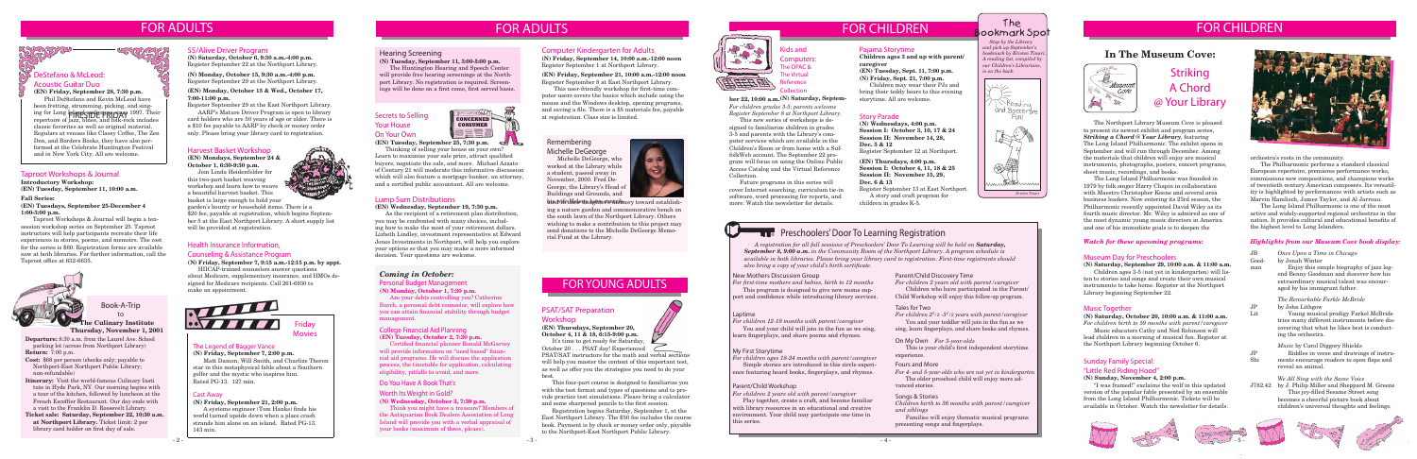# FOR CHILDREN FOR CHILDREN

#### The Legend of Bagger Vance

**(N) Friday, September 7, 2:00 p.m.** Matt Damon, Will Smith, and Charlize Theron star in this metaphysical fable about a Southern golfer and the mystic who inspires him. Rated PG-13. 127 min.

**Departure:** 8:30 a.m. from the Laurel Ave. School **Departure:** 8:30 a.m. from the Laurel Ave. School parking lot (across from Northport Library)



**Return:** 7:00 p.m.

**Cost:** \$68 per person (checks only; payable to Northport-East Northport Public Library; non-refundable)

**Itinerary:** Visit the world-famous Culinary Insti tute in Hyde Park, NY. Our morning begins with a tour of the kitchen, followed by luncheon at the French Escoffier Restaurant. Our day ends with a visit to the Franklin D. Roosevelt Library.

**Ticket sale: Saturday, September 22, 10:30 a.m. at Northport Library.** Ticket limit: 2 per library card holder on first day of sale.

**(EN) Friday, September 28, 7:30 p.m.** Phil DeStefano and Kevin McLeod have been fretting, strumming, picking, and singing for Long **Island can die most since 1997**. Their ing for Long **is and captie in party to 1**997. Their<br>repertoire of jazz, blues, and folk-rock includes classic favorites as well as original material. Regulars at venues like Classy Coffee, The Zen Den, and Borders Books, they have also performed at the Celebrate Huntington Festival and in New York City. All are welcome.<br>
and in New York City. All are welcome.

> Book-A-Trip to

### FOR YOUNG ADULTS

#### Cast Away

**(N) Friday, September 21, 2:00 p.m.**

A systems engineer (Tom Hanks) finds his world turned upside down when a place crash strands him alone on an island. Rated PG-13. 143 min.

# FOR ADULTS

### 55/Alive Driver Program

**(N) Saturday, October 6, 9:30 a.m.-4:00 p.m.** Register September 22 at the Northport Library.

**(N) Monday, October 15, 9:30 a.m.-4:00 p.m.** Register September 29 at the Northport Library.

#### **(EN) Monday, October 15 & Wed., October 17, 7:00-11:00 p.m.**

Register September 29 at the East Northport Library.

AARP's Mature Driver Program is open to library card holders who are 50 years of age or older. There is a \$10 fee payable to AARP by check or money order only. Please bring your library card to registration.

#### Acoustic Guitar Duo

It's time to get ready for Saturday, October 20 . . . PSAT day! Experienced

**(EN) Mondays, September 24 & October 1, 6:30-9:30 p.m.**

Join Linda Heidenfelder for this two-part basket weaving workshop and learn how to weave a beautiful harvest basket. This basket is large enough to hold your

garden's bounty or household items. There is a \$20 fee, payable at registration, which begins September 5 at the East Northport Library. A short supply list will be provided at registration.

#### Lump Sum Distributions

**(EN) Wednesday, September 19, 7:30 p.m.**

As the recipient of a retirement plan distribution, you may be confronted with many choices, including how to make the most of your retirement dollars. Lizbeth Lindley, investment representative at Edward Jones Investments in Northport, will help you explore your options so that you may make a more informed decision. Your questions are welcome.

#### Taproot Workshops & Journal

**Introductory Workshop: (EN) Tuesday, September 11, 10:00 a.m.**

#### **Fall Series:**

**(EN) Tuesdays, September 25-December 4 1:00-3:00 p.m.**

 Taproot Workshops & Journal will begin a tensession workshop series on September 25. Taproot instructors will help participants recreate their life experiences in stories, poems, and memoirs. The cost for the series is \$60. Registration forms are available now at both libraries. For further information, call the Taproot office at 632-6635.



#### Remembering Michelle DeGeorge

Michelle DeGeorge, who worked at the Library while a student, passed away in November, 2000. Fred De-George, the Library's Head of Buildings and Grounds, and



### PSAT/SAT Preparation

#### Workshop

**(EN) Thursdays, September 20, October 4, 11 & 18, 6:15-9:00 p.m.**

PSAT/SAT instructors for the math and verbal sections will help you master the content of this important test, as well as offer you the strategies you need to do your best.

*A registration for all fall sessions of Preschoolers' Door To Learning will be held on Saturday, September 8, 9:00 a.m. in the Community Room of the Northport Library. A program schedule is available in both libraries. Please bring your library card to registration. First-time registrants should also bring a copy of your child's birth certificate.*

This four-part course is designed to familiarize you with the test format and types of questions and to provide practice test simulations. Please bring a calculator and some sharpened pencils to the first session.

Registration begins Saturday, September 1, at the East Northport Library. The \$50 fee includes the course book. Payment is by check or money order only, payable to the Northport-East Northport Public Library.



#### **Culinary Institute Thursday, November 1, 2001**

#### Do You Have A Book That's

#### Worth Its Weight in Gold?

**(N) Wednesday, October 3, 7:30 p.m.**

#### *Stop by the Library*  The ookmark Spot

Think you might have a treasure? Members of the Antiquarian Book Dealers Association of Long Island will provide you with a verbal appraisal of your books (maximum of three, please).



#### College Financial Aid Planning **(EN) Tuesday, October 2, 7:30 p.m.**

Certified financial planner Ronald McGarvey will provide information on "need based" financial aid programs. He will discuss the application process, the timetable for application, calculating eligibility, pitfalls to avoid, and more.

his wifether Hadgwe fontribiory toward establishing a nature garden and commemorative bench on the south lawn of the Northport Library. Others wishing to make a contribution to this project may send donations to the Michelle DeGeorge Memorial Fund at the Library.

The Northport Library Museum Cove is pleased to present its newest exhibit and program series, *Striking a Chord @ Your Library*, featuring The Long Island Philharmonic. The exhibit opens in September and will run through December. Among the materials that children will enjoy are musical instruments, photographs, posters, concert programs, sheet music, recordings, and books.

The Long Island Philharmonic was founded in 1979 by folk singer Harry Chapin in collaboration with Maestro Christopher Keene and several area business leaders. Now entering its 23rd season, the Philharmonic recently appointed David Wiley as its fourth music director. Mr. Wiley is admired as one of the most dynamic young music directors in America and one of his immediate goals is to deepen the

# Striking A Chord @ Your Library

#### Museum Day for Preschoolers

**(N) Saturday, September 29, 10:00 a.m. & 11:00 a.m.** Children ages 3-5 (not yet in kindergarten) will listen to stories and songs and create their own musical instruments to take home. Register at the Northport Library beginning September 22.

#### **Music Together**

#### *Watch for these upcoming programs:*

#### **(N) Saturday, October 20, 10:00 a.m. & 11:00 a.m.**

*For children birth to 59 months with parent/caregiver* Music educators Cathy and Ned Robinson will

lead children in a morning of musical fun. Register at the Northport Library beginning October 6.

#### New Mothers Discussion Group

*For first-time mothers and babies, birth to 12 months* This program is designed to give new moms support and confidence while introducing library services.

#### Laptime

*For children 12-18 months with parent/caregiver*

Kids and Computers: **The OPAC &** The Virtual Reference ollection

#### ber 22, 10:00 a.m.<sup>(N)</sup> Saturday, Septem-<br>storytime. All are welcome.

You and your child will join in the fun as we sing, learn fingerplays, and share poems and rhymes.

#### My First Storytime

*For children ages 18-24 months with parent/caregiver* Simple stories are introduced in this circle experi-

ence featuring board books, fingerplays, and rhymes.

#### Parent/Child Workshop

*For children 2 years old with parent/caregiver*

Play together, create a craft, and become familiar with library resources in an educational and creative environment. Your child may participate one time in this series.

#### Parent/Child Discovery Time

*For children 2 years old with parent/caregiver* Children who have participated in the Parent/

Child Workshop will enjoy this follow-up program.

#### Tales for Two

*For children 21 /2 -31 /2 years with parent/caregiver* You and your toddler will join in the fun as we sing, learn fingerplays, and share books and rhymes.

#### On My Own *For 3-year-olds*

 This is your child's first independent storytime experience.

#### Fours and More

*For 4- and 5-year-olds who are not yet in kindergarten* The older preschool child will enjoy more advanced stories.

#### Songs & Stories

*Children birth to 36 months with parent/caregiver and siblings*

Families will enjoy thematic musical programs presenting songs and fingerplays.

orchestra's roots in the community.

The Philharmonic performs a standard classical European repertoire, premieres performance works, commissions new compositions, and champions works of twentieth century American composers. Its versatility is highlighted by performances with artists such as Marvin Hamlisch, James Taylor, and Al Jarreau.

The Long Island Philharmonic is one of the most active and widely-supported regional orchestras in the nation. It provides cultural and educational benefits of the highest level to Long Islanders.

### **In The Museum Cove:**



#### Hearing Screening

**(N) Tuesday, September 11, 3:00-5:00 p.m.**

The Huntington Hearing and Speech Center will provide free hearing screenings at the Northport Library. No registration is required. Screenings will be done on a first come, first served basis.

*and pick up September's bookmark by Kristen Tinari. A reading list, compiled by our Children's Librarians, is on the back.*



### **Preschoolers' Door To Learning Registration**

### *Coming in October:*

## FOR ADULTS

#### Sunday Family Special: "Little Red Riding Hood"

#### **(N) Sunday, November 4, 2:00 p.m.**

"I was framed!" exclaims the wolf in this updated version of the popular fable presented by an ensemble from the Long Island Philharmonic. Tickets will be available in October. Watch the newsletter for details.



#### Personal Budget Management **(N) Monday, October 1, 7:30 p.m.**

Are your debts controlling you? Catherine Burch, a personal debt counselor, will explore how you can attain financial stability through budget management.

#### *Highlights from our Museum Cove book display:*

| JB.                | Once Upon a Time in Chicago                                                                                                                         |
|--------------------|-----------------------------------------------------------------------------------------------------------------------------------------------------|
| Good-<br>man       | by Jonah Winter<br>Enjoy this simple biography of jazz leg-                                                                                         |
|                    | end Benny Goodman and discover how his<br>extraordinary musical talent was encour-<br>aged by his immigrant father.                                 |
|                    | The Remarkable Farkle McBride                                                                                                                       |
| JР<br>$_{\rm Lit}$ | by John Lithgow<br>Young musical prodigy Farkel McBride                                                                                             |
|                    | tries many different instruments before dis-<br>covering that what he likes best is conduct-<br>ing the orchestra.                                  |
| JP.<br>Shi         | <i>Music</i> by Carol Diggory Shields<br>Riddles in verse and drawings of instru-<br>ments encourage readers to open flaps and<br>reveal an animal. |
| J782.42            | We All Sing with the Same Voice<br>by J. Philip Miller and Sheppard M. Greene<br>This joy-filled Sesame Street song                                 |

becomes a cheerful picture book about children's universal thoughts and feelings.





Secrets to Selling Your House On Your Own

#### **(EN) Tuesday, September 25, 7:30 p.m.**

Thinking of selling your house on your own? Learn to maximize your sale price, attract qualified buyers, negotiate the sale, and more. Michael Azzato of Century 21 will moderate this informative discussion which will also feature a mortgage banker, an attorney, and a certified public accountant. All are welcome.

#### Computer Kindergarten for Adults

**(N) Friday, September 14, 10:00 a.m.-12:00 noon** Register September 1 at Northport Library.

**(EN) Friday, September 21, 10:00 a.m.-12:00 noon** Register September 8 at East Northport Library.

This user-friendly workshop for first-time computer users covers the basics which include using the mouse and the Windows desktop, opening programs, and saving a file. There is a \$5 materials fee, payable at registration. Class size is limited.

### Health Insurance Information,

#### Counseling & Assistance Program

**(N) Friday, September 7, 9:15 a.m.-12:15 p.m. by appt.**

HIICAP-trained counselors answer questions about Medicare, supplementary insurance, and HMOs designed for Medicare recipients. Call 261-6930 to make an appointment.

#### Story Parade

**(N) Wednesdays, 4:00 p.m. Session I: October 3, 10, 17 & 24 Session II: November 14, 28, Dec. 5 & 12** Register September 12 at Northport.

**(EN) Thursdays, 4:00 p.m. Session I: October 4, 11, 18 & 25 Session II: November 15, 29, Dec. 6 & 13** Register September 13 at East Northport.

A story and craft program for children in grades K-5.

#### Pajama Storytime

**Children ages 3 and up with parent/ caregiver (EN) Tuesday, Sept. 11, 7:00 p.m.**

**(N) Friday, Sept. 21, 7:00 p.m.** Children may wear their PJs and

bring their teddy bears to this evening

*For children grades 3-5; parents welcome Register September 8 at Northport Library.*

This new series of workshops is designed to familiarize children in grades 3-5 and parents with the Library's computer services which are available in the Children's Room or from home with a SuffolkWeb account. The September 22 program will focus on using the Online Public Access Catalog and the Virtual Reference Collection.

Future programs in this series will cover Internet searching, curriculum tie-in software, word processing for reports, and more. Watch the newsletter for details.